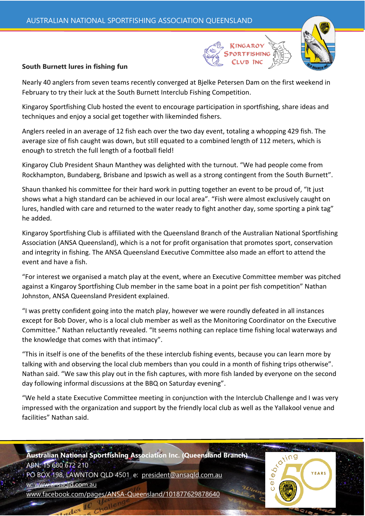

Nearly 40 anglers from seven teams recently converged at Bjelke Petersen Dam on the first weekend in February to try their luck at the South Burnett Interclub Fishing Competition.

Kingaroy Sportfishing Club hosted the event to encourage participation in sportfishing, share ideas and techniques and enjoy a social get together with likeminded fishers.

Anglers reeled in an average of 12 fish each over the two day event, totaling a whopping 429 fish. The average size of fish caught was down, but still equated to a combined length of 112 meters, which is enough to stretch the full length of a football field!

Kingaroy Club President Shaun Manthey was delighted with the turnout. "We had people come from Rockhampton, Bundaberg, Brisbane and Ipswich as well as a strong contingent from the South Burnett".

Shaun thanked his committee for their hard work in putting together an event to be proud of, "It just shows what a high standard can be achieved in our local area". "Fish were almost exclusively caught on lures, handled with care and returned to the water ready to fight another day, some sporting a pink tag" he added.

Kingaroy Sportfishing Club is affiliated with the Queensland Branch of the Australian National Sportfishing Association (ANSA Queensland), which is a not for profit organisation that promotes sport, conservation and integrity in fishing. The ANSA Queensland Executive Committee also made an effort to attend the event and have a fish.

"For interest we organised a match play at the event, where an Executive Committee member was pitched against a Kingaroy Sportfishing Club member in the same boat in a point per fish competition" Nathan Johnston, ANSA Queensland President explained.

"I was pretty confident going into the match play, however we were roundly defeated in all instances except for Bob Dover, who is a local club member as well as the Monitoring Coordinator on the Executive Committee." Nathan reluctantly revealed. "It seems nothing can replace time fishing local waterways and the knowledge that comes with that intimacy".

"This in itself is one of the benefits of the these interclub fishing events, because you can learn more by talking with and observing the local club members than you could in a month of fishing trips otherwise". Nathan said. "We saw this play out in the fish captures, with more fish landed by everyone on the second day following informal discussions at the BBQ on Saturday evening".

"We held a state Executive Committee meeting in conjunction with the Interclub Challenge and I was very impressed with the organization and support by the friendly local club as well as the Yallakool venue and facilities" Nathan said.